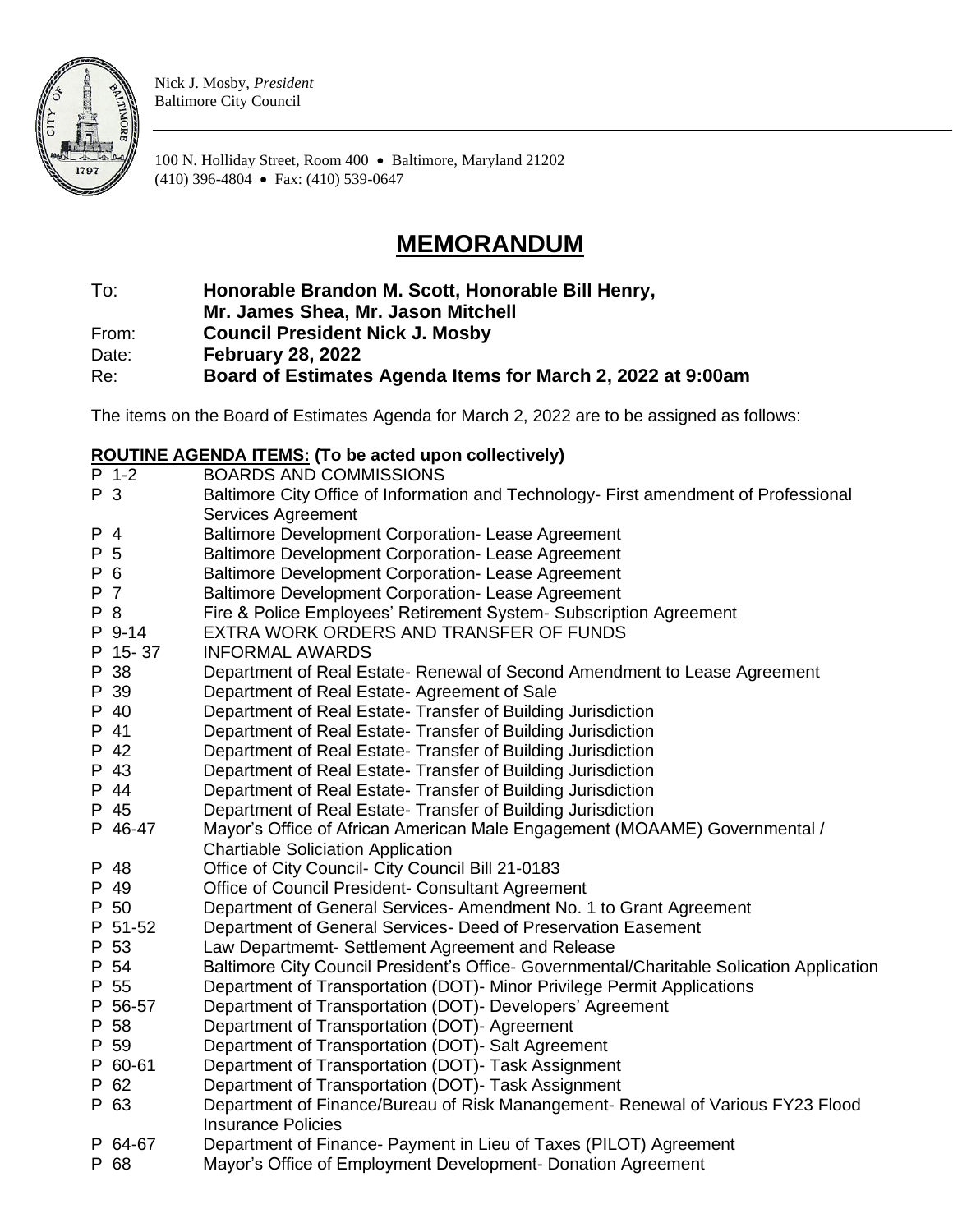

Nick J. Mosby, *President* Baltimore City Council

100 N. Holliday Street, Room 400 • Baltimore, Maryland 21202 (410) 396-4804 • Fax: (410) 539-0647

# **MEMORANDUM**

To: **Honorable Brandon M. Scott, Honorable Bill Henry,** 

**Mr. James Shea, Mr. Jason Mitchell**

From: **Council President Nick J. Mosby**

Date: **February 28, 2022**

Re: **Board of Estimates Agenda Items for March 2, 2022 at 9:00am**

The items on the Board of Estimates Agenda for March 2, 2022 are to be assigned as follows:

# **ROUTINE AGENDA ITEMS: (To be acted upon collectively)**

|     | $P$ 1-2 | <b>BOARDS AND COMMISSIONS</b>                                                             |
|-----|---------|-------------------------------------------------------------------------------------------|
| P 3 |         | Baltimore City Office of Information and Technology- First amendment of Professional      |
|     |         | Services Agreement                                                                        |
| P 4 |         | <b>Baltimore Development Corporation- Lease Agreement</b>                                 |
| P 5 |         | Baltimore Development Corporation- Lease Agreement                                        |
| P 6 |         | <b>Baltimore Development Corporation- Lease Agreement</b>                                 |
| P 7 |         | <b>Baltimore Development Corporation- Lease Agreement</b>                                 |
| P 8 |         | Fire & Police Employees' Retirement System- Subscription Agreement                        |
|     | P 9-14  | EXTRA WORK ORDERS AND TRANSFER OF FUNDS                                                   |
|     | P 15-37 | <b>INFORMAL AWARDS</b>                                                                    |
|     | P 38    | Department of Real Estate- Renewal of Second Amendment to Lease Agreement                 |
|     | P 39    | Department of Real Estate- Agreement of Sale                                              |
|     | P 40    | Department of Real Estate- Transfer of Building Jurisdiction                              |
|     | P 41    | Department of Real Estate- Transfer of Building Jurisdiction                              |
|     | P 42    | Department of Real Estate- Transfer of Building Jurisdiction                              |
|     | P 43    | Department of Real Estate- Transfer of Building Jurisdiction                              |
|     | P 44    | Department of Real Estate- Transfer of Building Jurisdiction                              |
|     | P 45    | Department of Real Estate- Transfer of Building Jurisdiction                              |
|     | P 46-47 | Mayor's Office of African American Male Engagement (MOAAME) Governmental /                |
|     |         | <b>Chartiable Soliciation Application</b>                                                 |
|     | P 48    | Office of City Council- City Council Bill 21-0183                                         |
|     | P 49    | Office of Council President- Consultant Agreement                                         |
|     | P 50    | Department of General Services-Amendment No. 1 to Grant Agreement                         |
|     | P 51-52 | Department of General Services- Deed of Preservation Easement                             |
|     | P 53    | Law Departmemt- Settlement Agreement and Release                                          |
|     | P 54    | Baltimore City Council President's Office- Governmental/Charitable Solication Application |
|     | P 55    | Department of Transportation (DOT)- Minor Privilege Permit Applications                   |
|     | P 56-57 | Department of Transportation (DOT)- Developers' Agreement                                 |
|     | P 58    | Department of Transportation (DOT)- Agreement                                             |
|     | P 59    | Department of Transportation (DOT)- Salt Agreement                                        |
|     | P 60-61 | Department of Transportation (DOT)- Task Assignment                                       |
|     | P 62    | Department of Transportation (DOT)- Task Assignment                                       |
|     | P 63    | Department of Finance/Bureau of Risk Manangement- Renewal of Various FY23 Flood           |
|     |         | <b>Insurance Policies</b>                                                                 |
|     | P 64-67 | Department of Finance- Payment in Lieu of Taxes (PILOT) Agreement                         |
|     | P 68    | Mayor's Office of Employment Development- Donation Agreement                              |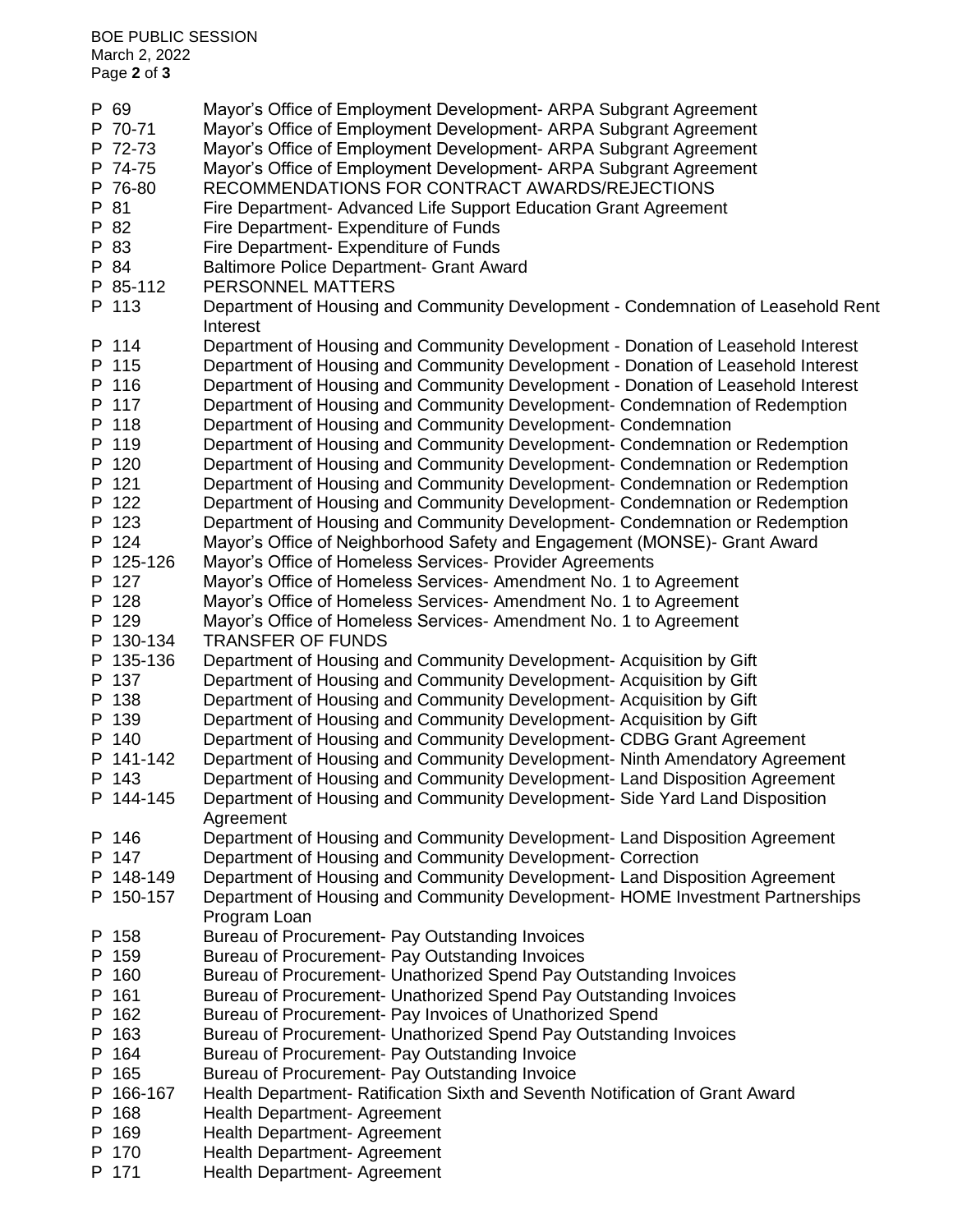| P 69      | Mayor's Office of Employment Development- ARPA Subgrant Agreement                             |
|-----------|-----------------------------------------------------------------------------------------------|
| P 70-71   | Mayor's Office of Employment Development- ARPA Subgrant Agreement                             |
| P 72-73   | Mayor's Office of Employment Development- ARPA Subgrant Agreement                             |
| P 74-75   | Mayor's Office of Employment Development- ARPA Subgrant Agreement                             |
| P 76-80   | RECOMMENDATIONS FOR CONTRACT AWARDS/REJECTIONS                                                |
| P 81      | Fire Department- Advanced Life Support Education Grant Agreement                              |
| P 82      | Fire Department- Expenditure of Funds                                                         |
| P 83      | Fire Department- Expenditure of Funds                                                         |
| P 84      | Baltimore Police Department- Grant Award                                                      |
| P 85-112  | PERSONNEL MATTERS                                                                             |
| P 113     | Department of Housing and Community Development - Condemnation of Leasehold Rent<br>Interest  |
| P 114     | Department of Housing and Community Development - Donation of Leasehold Interest              |
| P 115     | Department of Housing and Community Development - Donation of Leasehold Interest              |
| P 116     | Department of Housing and Community Development - Donation of Leasehold Interest              |
| P 117     | Department of Housing and Community Development- Condemnation of Redemption                   |
| P 118     | Department of Housing and Community Development- Condemnation                                 |
| P 119     | Department of Housing and Community Development- Condemnation or Redemption                   |
| P 120     | Department of Housing and Community Development- Condemnation or Redemption                   |
| P 121     | Department of Housing and Community Development- Condemnation or Redemption                   |
| P 122     | Department of Housing and Community Development- Condemnation or Redemption                   |
| P 123     | Department of Housing and Community Development- Condemnation or Redemption                   |
| P 124     | Mayor's Office of Neighborhood Safety and Engagement (MONSE)- Grant Award                     |
| P 125-126 | Mayor's Office of Homeless Services- Provider Agreements                                      |
| P 127     | Mayor's Office of Homeless Services- Amendment No. 1 to Agreement                             |
| P 128     | Mayor's Office of Homeless Services- Amendment No. 1 to Agreement                             |
| P 129     | Mayor's Office of Homeless Services- Amendment No. 1 to Agreement                             |
| P 130-134 | <b>TRANSFER OF FUNDS</b>                                                                      |
| P 135-136 | Department of Housing and Community Development- Acquisition by Gift                          |
| P 137     | Department of Housing and Community Development- Acquisition by Gift                          |
| P 138     | Department of Housing and Community Development- Acquisition by Gift                          |
| P 139     | Department of Housing and Community Development- Acquisition by Gift                          |
| P 140     | Department of Housing and Community Development- CDBG Grant Agreement                         |
| P 141-142 | Department of Housing and Community Development- Ninth Amendatory Agreement                   |
| P 143     | Department of Housing and Community Development- Land Disposition Agreement                   |
| P 144-145 | Department of Housing and Community Development- Side Yard Land Disposition                   |
|           | Agreement                                                                                     |
| P 146     | Department of Housing and Community Development- Land Disposition Agreement                   |
| P 147     | Department of Housing and Community Development- Correction                                   |
| P 148-149 | Department of Housing and Community Development- Land Disposition Agreement                   |
| P 150-157 | Department of Housing and Community Development- HOME Investment Partnerships<br>Program Loan |
| P 158     | Bureau of Procurement- Pay Outstanding Invoices                                               |
| P 159     | Bureau of Procurement- Pay Outstanding Invoices                                               |
| P 160     | Bureau of Procurement- Unathorized Spend Pay Outstanding Invoices                             |
| P 161     | Bureau of Procurement- Unathorized Spend Pay Outstanding Invoices                             |
| P 162     | Bureau of Procurement- Pay Invoices of Unathorized Spend                                      |
| P 163     | Bureau of Procurement- Unathorized Spend Pay Outstanding Invoices                             |
| P 164     | Bureau of Procurement- Pay Outstanding Invoice                                                |
| P 165     | Bureau of Procurement- Pay Outstanding Invoice                                                |
| P 166-167 | Health Department- Ratification Sixth and Seventh Notification of Grant Award                 |
| P 168     | Health Department- Agreement                                                                  |
| P 169     | Health Department- Agreement                                                                  |
| P 170     | Health Department- Agreement                                                                  |
| P 171     | Health Department- Agreement                                                                  |